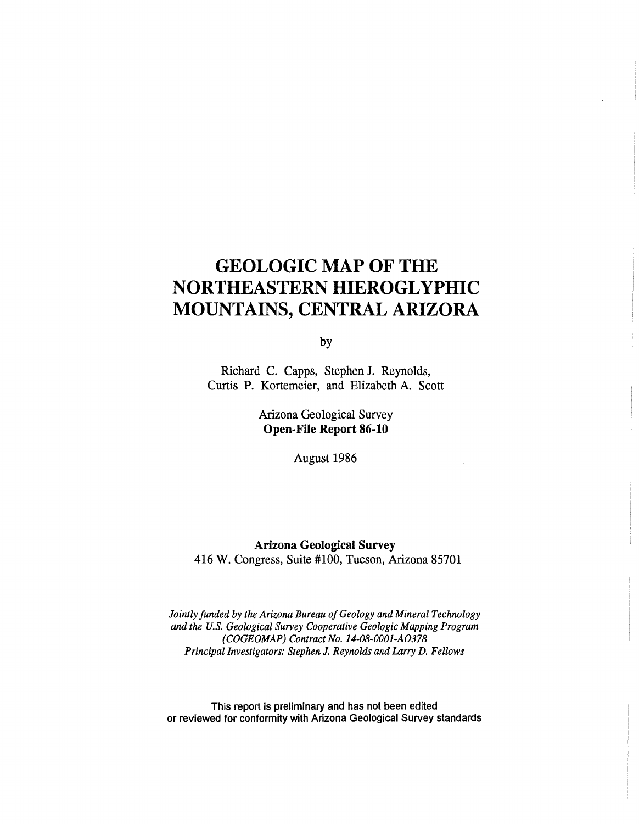# **GEOLOGIC MAP OF THE NORTHEASTERN HIEROGLYPHIC MOUNTAINS, CENTRAL ARIZORA**

by

Richard C. Capps, Stephen J. Reynolds, Curtis P. Kortemeier, and Elizabeth A. Scott

> Arizona Geological Survey Open-File Report 86·10

> > August 1986

Arizona Geological Survey 416 W. Congress, Suite #100, Tucson, Arizona 85701

Jointly funded by the Arizona Bureau of Geology and Mineral Technology and the U.S. Geological Survey Cooperative Geologic Mapping Program (COGEOMAP) Contract No. 14-08-0001-A0378 Principal Investigators: Stephen J. Reynolds and Larry D. Fellows

This report is preliminary and has not been edited or reviewed for conformity with Arizona Geological Survey standards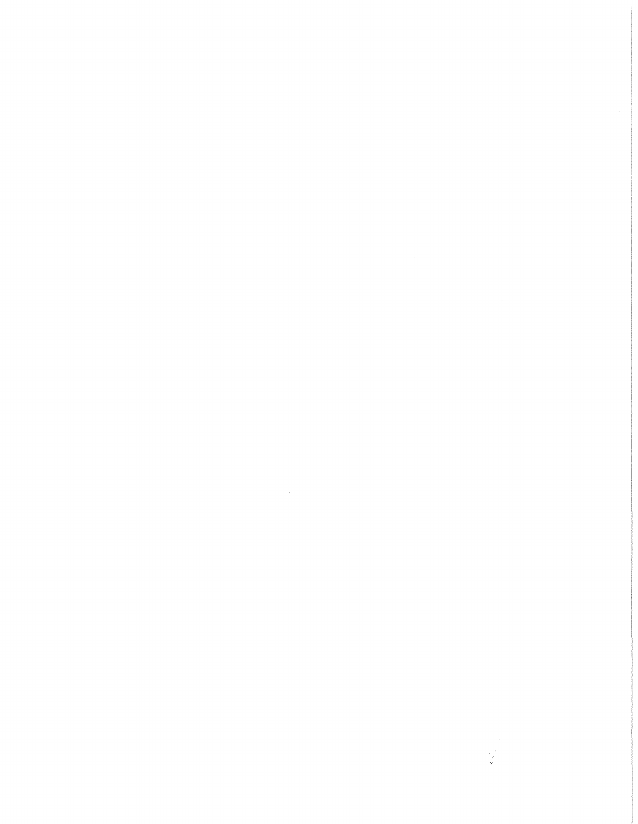$\frac{1}{2}$ 

 $\label{eq:2.1} \frac{1}{\sqrt{2}}\left(\frac{1}{\sqrt{2}}\right)^{2} \left(\frac{1}{\sqrt{2}}\right)^{2} \left(\frac{1}{\sqrt{2}}\right)^{2} \left(\frac{1}{\sqrt{2}}\right)^{2} \left(\frac{1}{\sqrt{2}}\right)^{2} \left(\frac{1}{\sqrt{2}}\right)^{2} \left(\frac{1}{\sqrt{2}}\right)^{2} \left(\frac{1}{\sqrt{2}}\right)^{2} \left(\frac{1}{\sqrt{2}}\right)^{2} \left(\frac{1}{\sqrt{2}}\right)^{2} \left(\frac{1}{\sqrt{2}}\right)^{2} \left(\$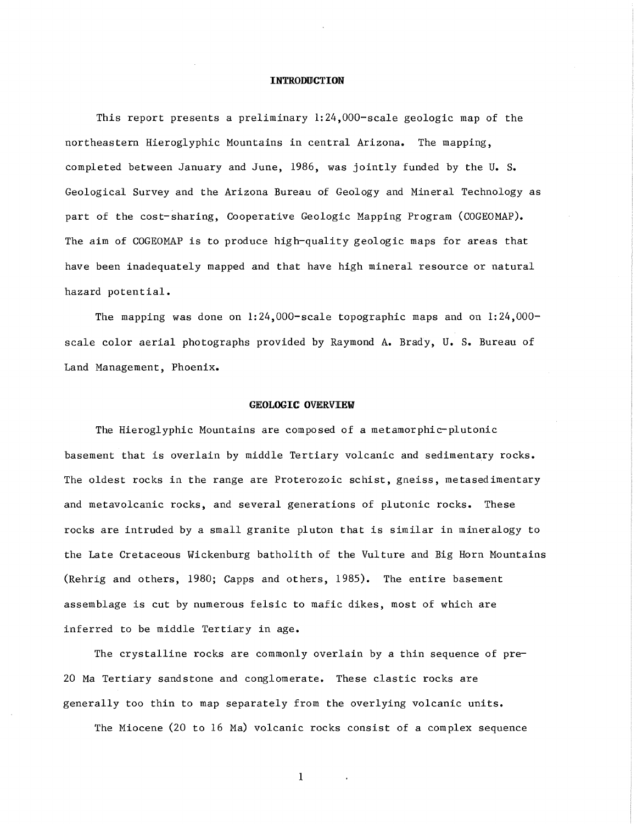#### **INTROOOCTION**

This report presents a preliminary 1:24,OOO-scale geologic map of the northeastern Hieroglyphic Mountains in central Arizona. The mapping, completed between January and June, 1986, was jointly funded by the U.S. Geological Survey and the Arizona Bureau of Geology and Mineral Technology as part of the cost-sharing, Cooperative Geologic Mapping Program (COGEOMAP). The aim of COGEOMAP is to produce high-quality geologic maps for areas that have been inadequately mapped and that have high mineral resource or natural hazard potential.

The mapping was done on  $1:24,000$ -scale topographic maps and on  $1:24,000$ scale color aerial photographs provided by Raymond A. Brady, U. S. Bureau of Land Management, Phoenix.

#### GEOLOGIC OVERVIEW

The Hieroglyphic Mountains are composed of a metamorphic-plutonic basement that is overlain by middle Tertiary volcanic and sedimentary rocks. The oldest rocks in the range are Proterozoic schist, gneiss, metasedimentary and metavolcanic rocks, and several generations of plutonic rocks. These rocks are intruded by a small granite pluton that is similar in mineralogy to the Late Cretaceous Wickenburg batholith of the Vulture and Big Horn Mountains (Rehrig and others, 1980; Capps and others, 1985). The entire basement assemblage is cut by numerous felsic to mafic dikes, most of which are inferred to be middle Tertiary in age.

The crystalline rocks are commonly overlain by a thin sequence of pre-20 Ma Tertiary sandstone and conglomerate. These clastic rocks are generally too thin to map separately from the overlying volcanic units.

The Miocene (20 to 16 Ma) volcanic rocks consist of a complex sequence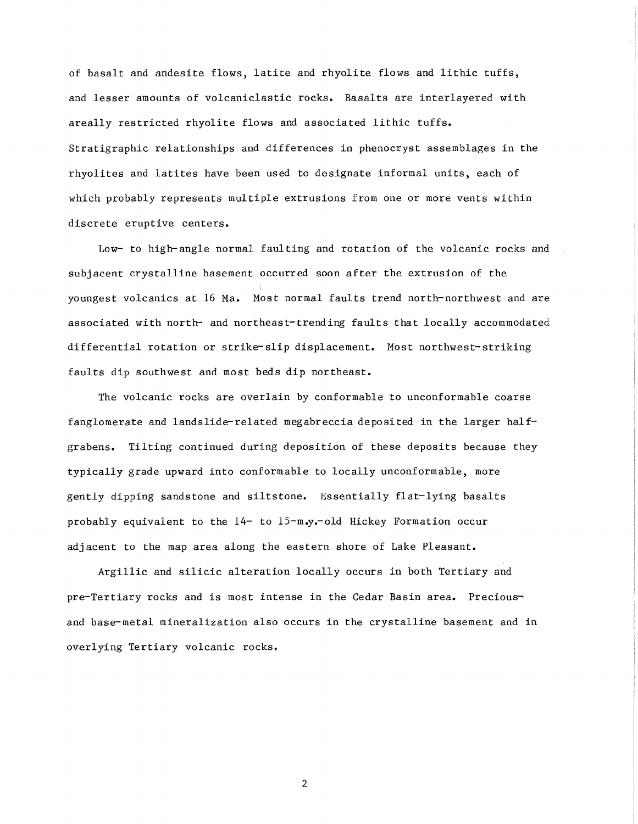of basalt and andesite flows, latite and rhyolite flows and lithic tuffs, and lesser amounts of volcaniclastic rocks. Basalts are interlayered with areally restricted rhyolite flows and associated lithic tuffs. Stratigraphic relationships and differences in phenocryst assemblages in the rhyolites and latites have been used to designate informal units, each of which probably represents multiple extrusions from one or more vents within discrete eruptive centers.

Low- to high-angle normal faulting and rotation of the volcanic rocks and subjacent crystalline basement occurred soon after the extrusion of the youngest volcanics at 16 Ma. Most normal faults trend north-northwest and are associated with north- and northeast-trending faults that locally accommodated differential rotation or strike-slip displacement. Most northwest-striking faults dip southwest and most beds dip northeast.

The volcanic rocks are overlain by conformable to unconformable coarse fanglomerate and landslide-related megabreccia deposited in the larger halfgrabens. Tilting continued during deposition of these deposits because they typically grade upward into conformable to locally unconformable, more gently dipping sandstone and siltstone. Essentially flat-lying basalts probably equivalent to the 14- to 15-m.y.-old Hickey Formation occur adjacent to the map area along the eastern shore of Lake Pleasant.

Argillic and silicic alteration locally occurs in both Tertiary and pre-Tertiary rocks and is most intense in the Cedar Basin area. Preciousand base-metal mineralization also occurs in the crystalline basement and in overlying Tertiary volcanic rocks.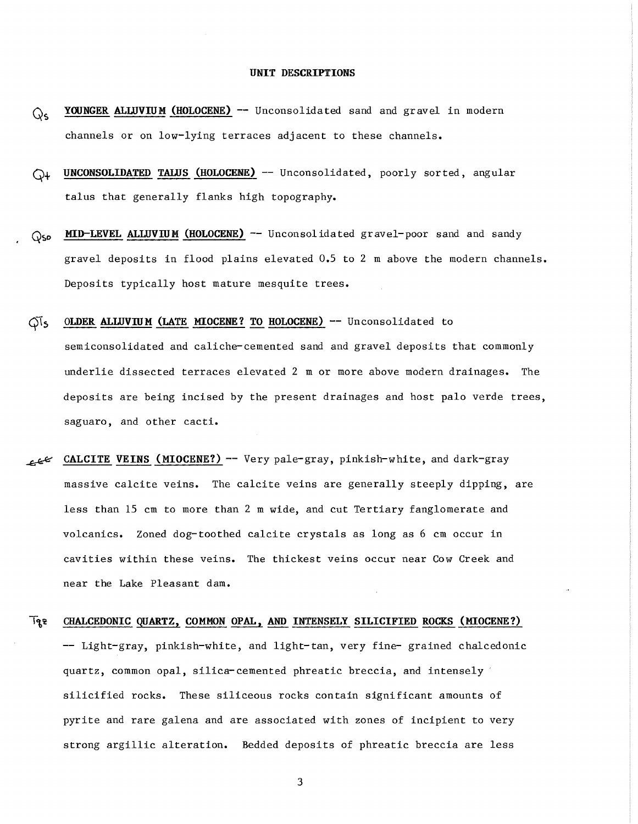#### **UNIT DESCRIPrIONS**

- Q<sub>S</sub> YOUNGER ALLUVIUM (HOLOCENE) -- Unconsolidated sand and gravel in modern channels or on low-lying terraces adjacent to these channels.
- ~+ **UNCONSOLIDATED TALUS (HOLOCENE) --** Unconsolidated, poorly sorted, angular talus that generally flanks high topography.
- Q<sub>50</sub> MID-LEVEL ALLUVIUM (HOLOCENE) -- Unconsolidated gravel-poor sand and sandy gravel deposits in flood plains elevated 0.5 to 2 m above the modern channels. Deposits typically host mature mesquite trees.
- qI!i **OLDER ALIDVIUM (LATE MIOCENE? TO HOLOCENE) --** Unconsolidated to semiconsolidated and caliche-cemented sand and gravel deposits that commonly underlie dissected terraces elevated 2 m or more above modern drainages. The deposits are being incised by the present drainages and host palo verde trees, saguaro, and other cacti.
- ~ **CALCITE VEINS (MIOCENE?) --** Very pale-gray, pinkish-white, and dark-gray massive calcite veins. The calcite veins are generally steeply dipping, are less than 15 cm to more than 2 m wide, and cut Tertiary fanglomerate and volcanics. Zoned dog-toothed calcite crystals as long as 6 cm occur in cavities within these veins. The thickest veins occur near Cow Creek and near the Lake Pleasant dam.
- Tage CHALCEDONIC QUARTZ, COMMON OPAL, AND INTENSELY SILICIFIED ROCKS (MIOCENE?) **--** Light-gray, pinkish-white, and light-tan, very fine- grained chalcedonic quartz, common opal, silica-cemented phreatic breccia, and intensely silicified rocks. These siliceous rocks contain significant amounts of pyrite and rare galena and are associated with zones of incipient to very strong argillic alteration. Bedded deposits of phreatic breccia are less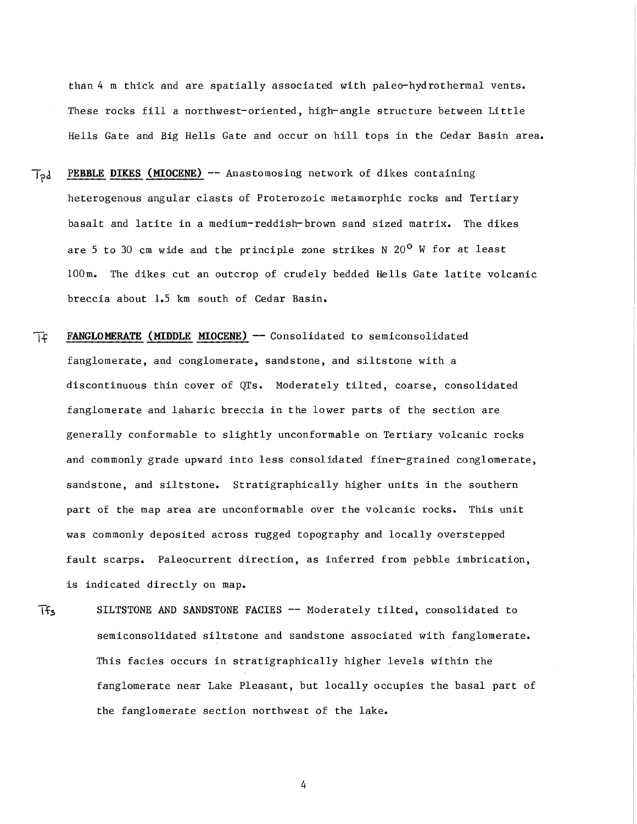than 4 m thick and are spatially associated with paleo-hydrothermal vents. These rocks fill a northwest-oriented, high-angle structure between Little Hells Gate and Big Hells Gate and occur on hill tops in the Cedar Basin area.

- T<sub>P</sub>d PEBBLE DIKES (MIOCENE) -- Anastomosing network of dikes containing heterogenous angular clasts of Proterozoic metamorphic rocks and Tertiary basalt and latite in a medium-reddish-brown sand sized matrix. The dikes are 5 to 30 cm wide and the principle zone strikes N 20<sup>0</sup> W for at least 100m. The dikes cut an outcrop of crudely bedded Hells Gate latite volcanic breccia about 1.5 km south of Cedar Basin.
- TF FANGLOMERATE (MIDDLE MIOCENE) Consolidated to semiconsolidated fanglomerate, and conglomerate, sandstone, and siltstone with a discontinuous thin cover of QTs. Moderately tilted, coarse, consolidated fanglomerate and laharic breccia in the lower parts of the section are generally conformable to slightly unconformable on Tertiary volcanic rocks and commonly grade upward into less consolidated finer-grained conglomerate, sandstone, and siltstone. Stratigraphically higher units in the southern part of the map area are unconformable over the volcanic rocks. This unit was commonly deposited across rugged topography and locally overstepped fault scarps. Paleocurrent direction, as inferred from pebble imbrication, is indicated directly on map.
- If<sub>5</sub> SILTSTONE AND SANDSTONE FACIES -- Moderately tilted, consolidated to semi consolidated siltstone and sandstone associated with fanglomerate. This facies occurs in stratigraphically higher levels within the fanglomerate near Lake Pleasant, but locally occupies the basal part of the fanglomerate section northwest of the lake.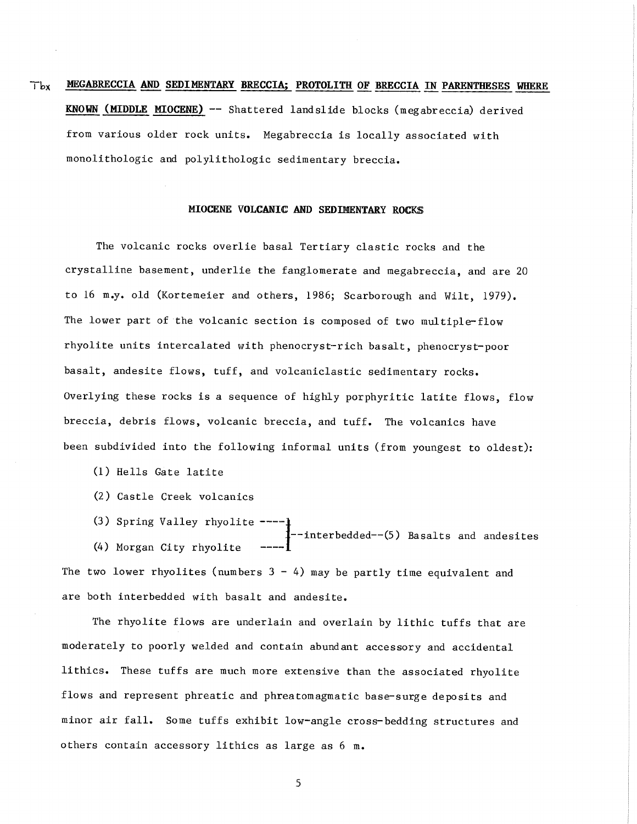## MEGABRECCIA AND SEDIMENTARY BRECCIA; PROTOLITH OF BRECCIA IN PARENTHESES WHERE  $T_{\rm bx}$ KNOWN (MIDDLE MIOCENE) -- Shattered landslide blocks (megabreccia) derived from various older rock units. Megabreccia is locally associated with monolithologic and polylithologic sedimentary breccia.

#### MIOCENE VOLCANIC AND SEDIMENTARY ROCKS

The volcanic rocks overlie basal Tertiary clastic rocks and the crystalline basement, underlie the fanglomerate and megabreccia, and are 20 to 16 m.y. old (Kortemeier and others, 1986; Scarborough and Wilt, 1979). The lower part of the volcanic section is composed of two multiple-flow rhyolite units intercalated with phenocryst-rich basalt, phenocryst-poor basalt, andesite flows, tuff, and volcaniclastic sedimentary rocks. Overlying these rocks is a sequence of highly porphyritic latite flows. flow breccia, debris flows, volcanic breccia, and tuff. The volcanics have been subdivided into the following informal units (from youngest to oldest):

- (1) Hells Gate latite
- (2) Castle Creek volcanics
- 

The two lower rhyolites (numbers  $3 - 4$ ) may be partly time equivalent and are both interbedded with basalt and andesite.

The rhyolite flows are underlain and overlain by lithic tuffs that are moderately to poorly welded and contain abundant accessory and accidental lithics. These tuffs are much more extensive than the associated rhyolite flows and represent phreatic and phreatomagmatic base-surge deposits and minor air fall. Some tuffs exhibit low-angle cross-bedding structures and others contain accessory lithics as large as 6 m.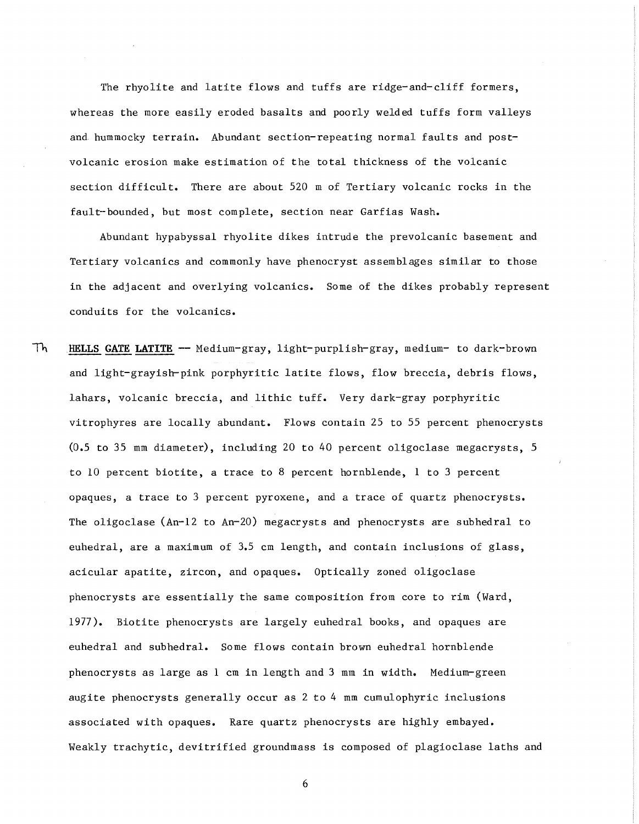The rhyolite and latite flows and tuffs are ridge-and-cliff formers, whereas the more easily eroded basalts and poorly welded tuffs form valleys and hummocky terrain. Abundant section-repeating normal faults and postvolcanic erosion make estimation of the total thickness of the volcanic section difficult. There are about 520 m of Tertiary volcanic rocks in the fault-bounded, but most complete, section near Garfias Wash.

Abundant hypabyssal rhyolite dikes intrude the prevolcanic basement and Tertiary volcanics and commonly have phenocryst assemblages similar to those in the adjacent and overlying volcanics. Some of the dikes probably represent conduits for the volcanics.

n .HELLS GATE LATlTE -- Medium-gray, light-purplish-gray, medium- to dark-brown and light-grayish-pink porphyritic latite flows, flow breccia, debris flows, lahars, volcanic breccia, and lithic tuff. Very dark-gray porphyritic vitrophyres are locally abundant. Flows contain 25 to 55 percent phenocrysts (0.5 to 35 mm diameter), including 20 to 40 percent oligoclase megacrysts, 5 to 10 percent biotite, a trace to 8 percent hornblende, 1 to 3 percent opaques, a trace to 3 percent pyroxene, and a trace of quartz phenocrysts. The oligoclase (An-12 to An-20) megacrysts and phenocrysts are subhedral to euhedral, are a maximum of 3.5 cm length, and contain inclusions of glass, acicular apatite, zircon, and opaques. Optically zoned oligoclase phenocrysts are essentially the same composition from core to rim (Ward, 1977). Biotite phenocrysts are largely euhedral books, and opaques are euhedral and subhedral. Some flows contain brown euhedral hornblende phenocrysts as large as 1 cm in length and 3 mm in width. Medium-green augite phenocrysts generally occur as 2 to 4 mm cumulophyric inclusions associated with opaques. Rare quartz phenocrysts are highly embayed. Weakly trachytic, devitrified groundmass is composed of plagioclase laths and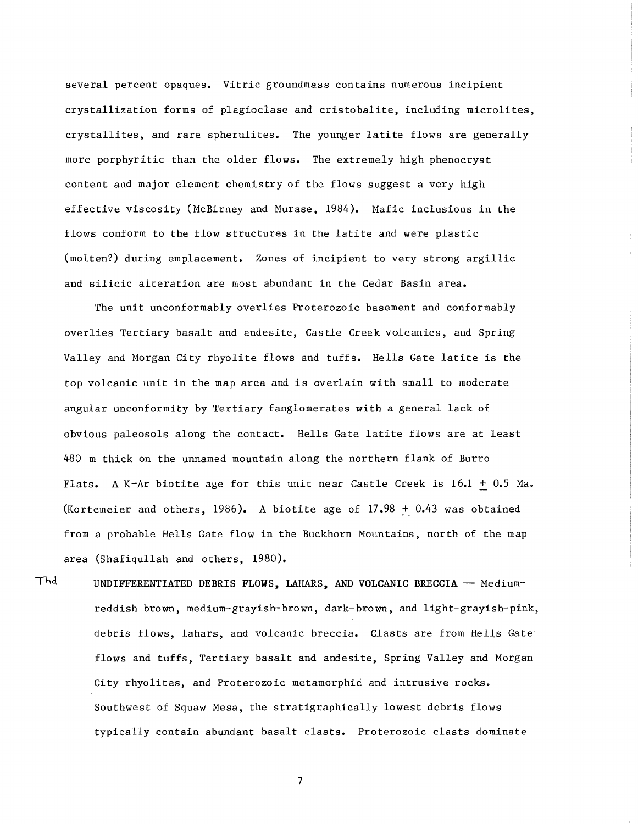several percent opaques. Vitric groundmass contains numerous incipient crystallization forms of plagioclase and cristobalite, including microlites, crystallites, and rare spherulites. The younger latite flows are generally more porphyritic than the older flows. The extremely high phenocryst content and major element chemistry of the flows suggest a very high effective viscosity (McBirney and Murase, 1984). Mafic inclusions in the flows conform to the flow structures in the latite and were plastic (molten?) during emplacement. Zones of incipient to very strong argillic and silicic alteration are most abundant in the Cedar Basin area.

The unit unconformably overlies Proterozoic basement and conformably overlies Tertiary basalt and andesite, Castle Creek volcanics, and Spring Valley and Morgan City rhyolite flows and tuffs. Hells Gate latite is the top volcanic unit in the map area and is overlain with small to moderate angular unconformity by Tertiary fanglomerates with a general lack of obvious paleosols along the contact. Hells Gate latite flows are at least 480 m thick on the unnamed mountain along the northern flank of Burro Flats. A K-Ar biotite age for this unit near Castle Creek is 16.1 + 0.5 Ma. (Kortemeier and others, 1986). A biotite age of 17.98 + 0.43 was obtained from a probable Hells Gate flow in the Buckhorn Mountains, north of the map area (Shafiqullah and others, 1980).

Thd UNDIFFERENTIATED DEBRIS FLOWS, LAHARS, AND VOLCANIC BRECCIA -- Mediumreddish brown, medium-grayish-brown, dark-brown, and light-grayish-pink, debris flows, lahars, and volcanic breccia. Clasts are from Hells Gate flows and tuffs, Tertiary basalt and andesite, Spring Valley and Morgan City rhyolites, and Proterozoic metamorphic and intrusive rocks. Southwest of Squaw Mesa, the stratigraphically lowest debris flows typically contain abundant basalt clasts. Proterozoic clasts dominate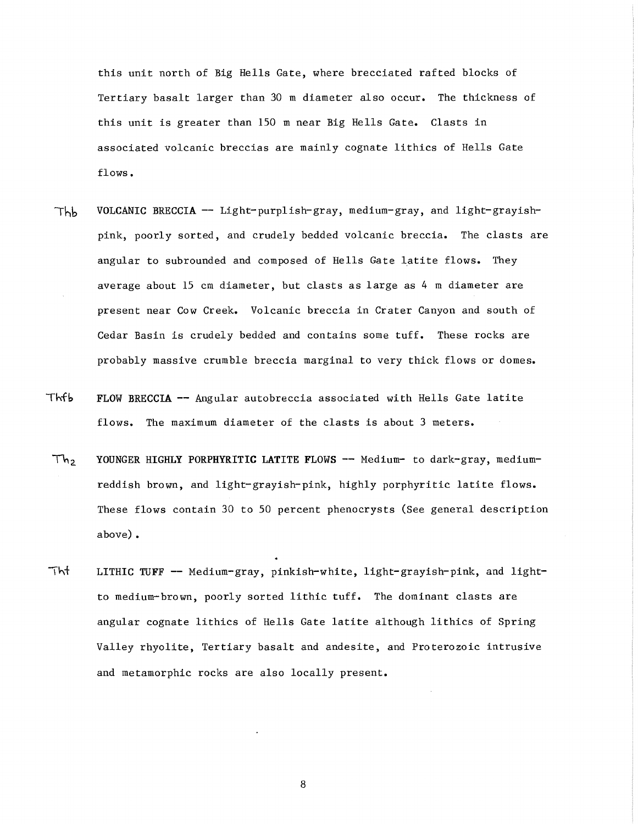this unit north of Big Hells Gate, where brecciated rafted blocks of Tertiary basalt larger than 30 m diameter also occur. The thickness of this unit is greater than 150 m near Big Hells Gate. Clasts in associated volcanic breccias are mainly cognate lithics of Hells Gate flows.

- Thb VOLCANIC BRECCIA -- Light-purplish-gray, medium-gray, and light-grayishpink, poorly sorted, and crudely bedded volcanic breccia. The clasts are angular to subrounded and composed of Hells Gate latite flows. They average about 15 cm diameter, but clasts as large as 4 m diameter are present near Cow Creek. Volcanic breccia in Crater Canyon and south of Cedar Basin is crudely bedded and contains some tuff. These rocks are probably massive crumble breccia marginal to very thick flows or domes.
- Thfb FLOW BRECCIA -- Angular autobreccia associated with Hells Gate latite flows. The maximum diameter of the clasts is about 3 meters.
- $Th_2$  YOUNGER HIGHLY PORPHYRITIC LATITE FLOWS -- Medium- to dark-gray, mediumreddish brown, and light-grayish-pink, highly porphyritic latite flows. These flows contain 30 to 50 percent phenocrysts (See general description above).
- ~~t LITHIC TUFF -- Medium-gray, pinkish-white, light-grayish-pink, and lightto medium-brown, poorly sorted lithic tuff. The dominant clasts are angular cognate lithics of Hells Gate latite although lithics of Spring Valley rhyolite, Tertiary basalt and andesite, and Proterozoic intrusive and metamorphic rocks are also locally present.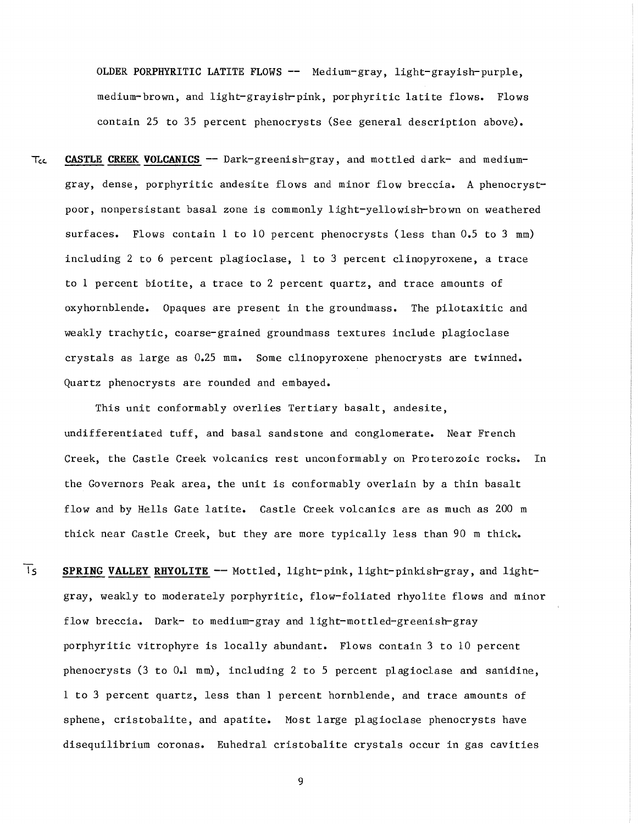OLDER PORPHYRITIC LATITE FLOWS -- Medium-gray, light-grayish-purple, medium-brown, and light-grayish-pink, porphyritic latite flows. Flows contain 25 to 35 percent phenocrysts (See general description above).

T<sub>c</sub> $_{c}$  **CASTLE CREEK VOLCANICS** -- Dark-greenish-gray, and mottled dark- and mediumgray, dense, porphyritic andesite flows and minor flow breccia. A phenocrystpoor, nonpersistant basal zone is commonly light-yellowish-brown on weathered surfaces. Flows contain 1 to 10 percent phenocrysts (less than 0.5 to 3 mm) including 2 to 6 percent plagioclase, 1 to 3 percent clinopyroxene, a trace to 1 percent biotite, a trace to 2 percent quartz, and trace amounts of oxyhornblende. Opaques are present in the groundmass. The pilotaxitic and weakly trachytic, coarse-grained groundmass textures include plagioclase crystals as large as 0.25 mm. Some clinopyroxene phenocrysts are twinned. Quartz phenocrysts are rounded and embayed.

This unit conformably overlies Tertiary basalt, andesite, undifferentiated tuff, and basal sandstone and conglomerate. Near French Creek, the Castle Creek volcanics rest unconformably on Proterozoic rocks. In the Governors Peak area, the unit is conformably overlain by a thin basalt flow and by Hells Gate latite. Castle Creek volcanics are as much as 200 m thick near Castle Creek, but they are more typically less than 90 m thick.

SPRING VALLEY RHYOLITE -- Mottled, light-pink, light-pinkish-gray, and lightgray, weakly to moderately porphyritic, flow-foliated rhyolite flows and minor flow breccia. Dark- to medium-gray and light-mottled-greenish-gray porphyritic vitrophyre is locally abundant. Flows contain 3 to 10 percent phenocrysts (3 to 0.1 mm), including 2 to 5 percent plagioclase and sanidine, 1 to 3 percent quartz, less than 1 percent hornblende, and trace amounts of sphene, cristobalite, and apatite. Most large plagioclase phenocrysts have disequilibrium coronas. Euhedral cristobalite crystals occur in gas cavities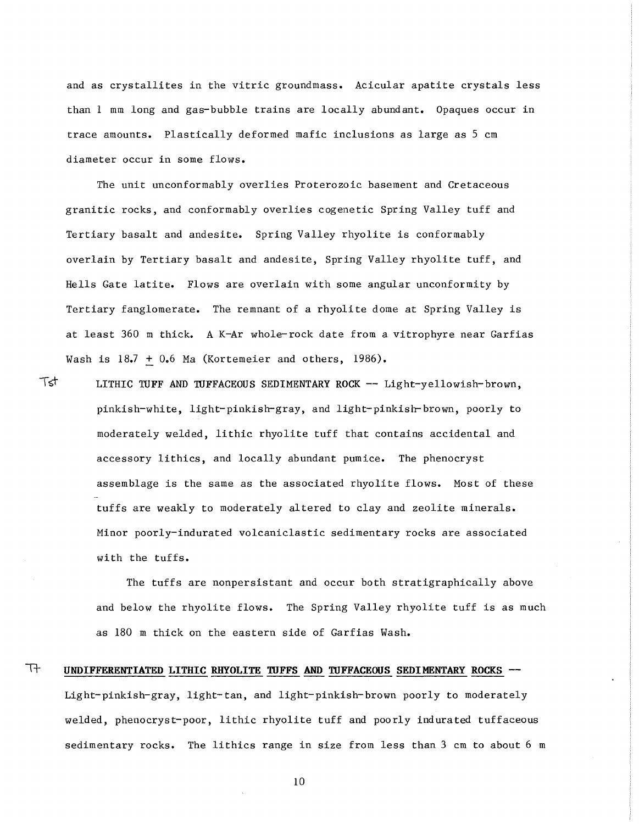and as crystallites in the vitric groundmass. Acicular apatite crystals less than 1 mm long and gas-bubble trains are locally abundant. Opaques occur in trace amounts. Plastically deformed mafic inclusions as large as 5 cm diameter occur in some flows.

The unit unconformably overlies Proterozoic basement and Cretaceous granitic rocks, and conformably overlies cogenetic Spring Valley tuff and Tertiary basalt and andesite. Spring Valley rhyolite is conformably overlain by Tertiary basalt and andesite, Spring Valley rhyolite tuff, and Hells Gate latite. Flows are overlain with some angular unconformity by Tertiary fanglomerate. The remnant of a rhyolite dome at Spring Valley is at least 360 m thick. A K-Ar whole-rock date from a vitrophyre near Garfias Wash is  $18.7 + 0.6$  Ma (Kortemeier and others,  $1986$ ).

 $T$ st LITHIC TUFF AND TUFFACEOUS SEDIMENTARY ROCK -- Light-yellowish-brown, pinkish-white, light-pinkish-gray, and light-pinkish-brown, poorly to moderately welded, lithic rhyolite tuff that contains accidental and accessory lithics, and locally abundant pumice. The phenocryst assemblage is the same as the associated rhyolite flows. Most of these tuffs are weakly to moderately altered to clay and zeolite minerals. Minor poorly-indurated volcaniclastic sedimentary rocks are associated with the tuffs.

> The tuffs are nonpersistant and occur both stratigraphically above and below the rhyolite flows. The Spring Valley rhyolite tuff is as much as 180 m thick on the eastern side of Garfias Wash.

### **T+** UNDIFFERENTIATED LITHIC RHYOLITE TUFFS AND TUFFACEOUS SEDIMENTARY ROCKS --

Light-pinkish-gray, light-tan, and light-pinkish-brown poorly to moderately welded, phenocryst-poor, lithic rhyolite tuff and poorly indurated tuffaceous sedimentary rocks. The lithics range in size from less than 3 cm to about 6 m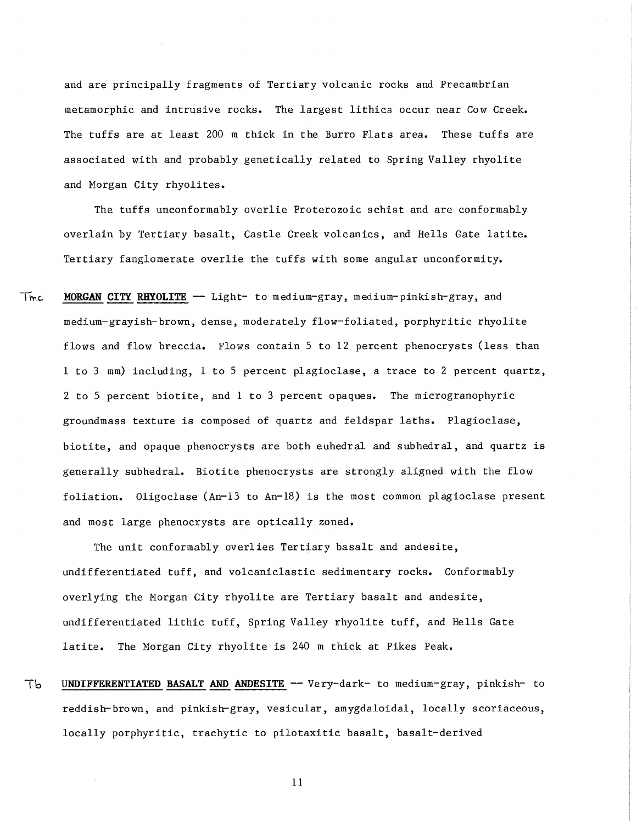and are principally fragments of Tertiary volcanic rocks and Precambrian metamorphic and intrusive rocks. The largest lithics occur near Cow Creek. The tuffs are at least 200 m thick in the Burro Flats area. These tuffs are associated with and probably genetically related to Spring Valley rhyolite and Morgan City rhyolites.

The tuffs unconformably overlie Proterozoic schist and are conformably overlain by Tertiary basalt, Castle Creek volcanics, and Hells Gate latite. Tertiary fanglomerate overlie the tuffs with some angular unconformity.

Tmc MORGAN CITY RHYOLITE -- Light- to medium-gray, medium-pinkish-gray, and medium-grayish-brown, dense, moderately flow-foliated, porphyritic rhyolite flows and flow breccia. Flows contain 5 to 12 percent phenocrysts (less than 1 to 3 mm) including, 1 to 5 percent plagioclase, a trace to 2 percent quartz, 2 to 5 percent biotite, and 1 to 3 percent opaques. The microgranophyric groundmass texture is composed of quartz and feldspar laths. Plagioclase, biotite, and opaque phenocrysts are both euhedral and subhedral, and quartz is generally subhedral. Biotite phenocrysts are strongly aligned with the flow foliation. Oligoclase (An-13 to An-18) is the most common plagioclase present and most large phenocrysts are optically zoned.

The unit conformably overlies Tertiary basalt and andesite, undifferentiated tuff, and volcaniclastic sedimentary rocks. Conformably overlying the Morgan City rhyolite are Tertiary basalt and andesite, undifferentiated lithic tuff, Spring Valley rhyolite tuff, and Hells Gate latite. The Morgan City rhyolite is 240 m thick at Pikes Peak.

Tb **UNDIFFERENTIATED BASALT AND ANDESITE --** Very-dark- to medium-gray, pinkish- to reddish-brown, and pinkish-gray, vesicular, amygdaloidal, locally scoriaceous, locally porphyritic, trachytic to pilotaxitic basalt, basalt-derived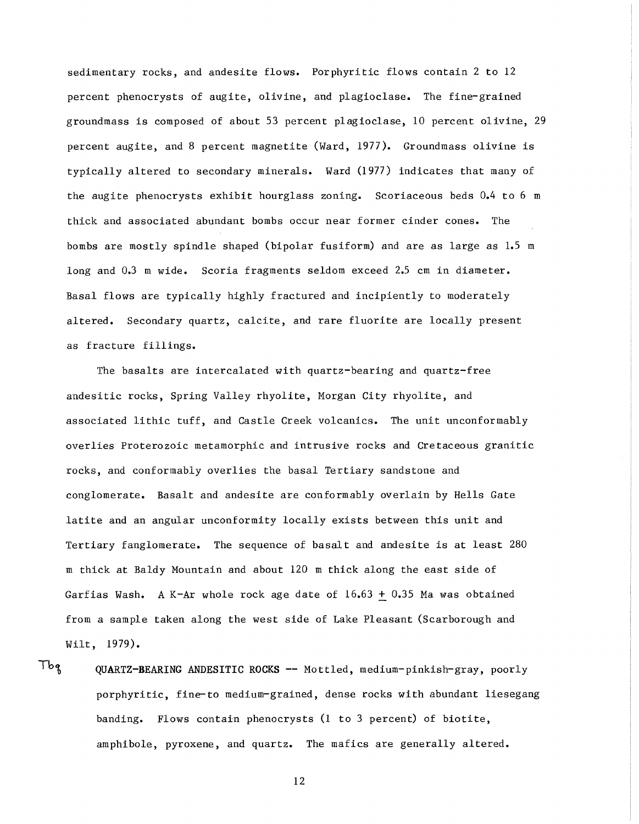sedimentary rocks, and andesite flows. Porphyritic flows contain 2 to 12 percent phenocrysts of augite, olivine, and plagioclase. The fine-grained groundmass is composed of about 53 percent plagioclase, 10 percent olivine, 29 percent augite, and 8 percent magnetite (Ward, 1977). Groundmass olivine is typically altered to secondary minerals. Ward (1977) indicates that many of the augite phenocrysts exhibit hourglass zoning. Scoriaceous beds 0.4 to 6 m thick and associated abundant bombs occur near former cinder cones. The bombs are mostly spindle shaped (bipolar fusiform) and are as large as 1.5 m long and 0.3 m wide. Scoria fragments seldom exceed 2.5 cm in diameter. Basal flows are typically highly fractured and incipiently to moderately altered. Secondary quartz, calcite, and rare fluorite are locally present as fracture fillings.

The basalts are intercalated with quartz-bearing and quartz-free andesitic rocks, Spring Valley rhyolite, Morgan City rhyolite, and associated lithic tuff, and Castle Creek volcanics. The unit unconformably overlies Proterozoic metamorphic and intrusive rocks and Cretaceous granitic rocks, and conformably overlies the basal Tertiary sandstone and conglomerate. Basalt and andesite are conformably overlain by Hells Gate latite and an angular unconformity locally exists between this unit and Tertiary fanglomerate. The sequence of basalt and andesite is at least 280 m thick at Baldy Mountain and about 120 m thick along the east side of Garfias Wash. A K-Ar whole rock age date of  $16.63 + 0.35$  Ma was obtained from a sample taken along the west side of Lake Pleasant (Scarborough and Wilt, 1979).

lrb, QUARTZ-BEARING ANDESITIC ROCKS **--** Mottled, medium-pinkish-gray, poorly porphyritic, fine-to medium-grained, dense rocks with abundant liesegang banding. Flows contain phenocrysts (1 to 3 percent) of biotite, amphibole, pyroxene, and quartz. The mafics are generally altered.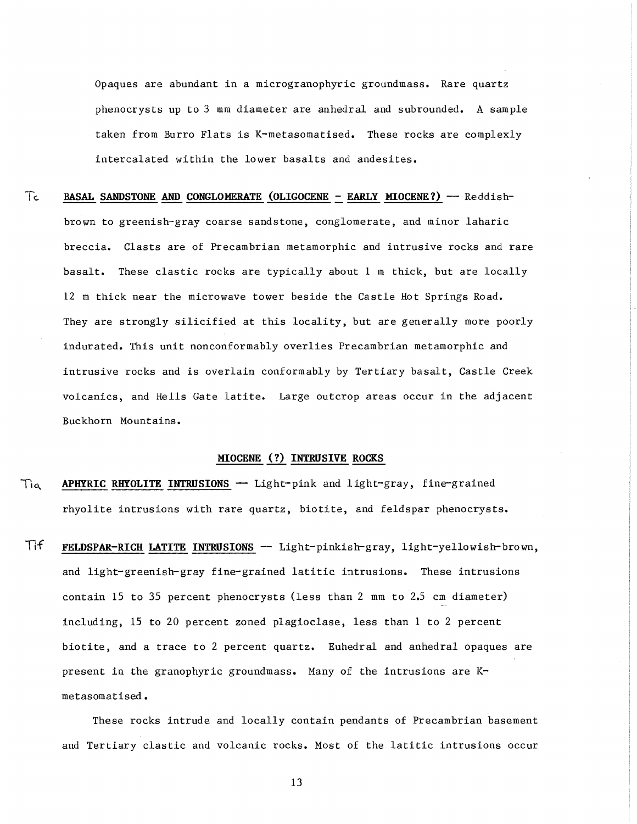Opaques are abundant in a microgranophyric groundmass. Rare quartz phenocrysts up to 3 mm diameter are anhedral and subrounded. A sample taken from Burro Flats is K-metasomatised. These rocks are complexly intercalated within the lower basalts and andesites.

Tc. BASAL SANDSTONE AND CONGLOMERATE (OLIGOCENE - EARLY MIOCENE?) -- Reddishbrown to greenish-gray coarse sandstone, conglomerate, and minor laharic breccia. Clasts are of Precambrian metamorphic and intrusive rocks and rare basalt. These clastic rocks are typically about 1 m thick, but are locally 12 m thick near the microwave tower beside the Castle Hot Springs Road. They are strongly silicified at this locality, but are generally more poorly indurated. This unit non conformably overlies Precambrian metamorphic and intrusive rocks and is overlain conformably by Tertiary basalt, Castle Creek volcanics, and Hells Gate latite. Large outcrop areas occur in the adjacent Buckhorn Mountains.

#### **MIOCENE (1) INTRUSIVE ROCKS**

- Tig **APHYRIC RHYOLITE INTRUSIONS** -- Light-pink and light-gray, fine-grained rhyolite intrusions with rare quartz, biotite, and feldspar phenocrysts.
- **llf FELDSPAR-RICH LATITE INTRUSIONS --** Light-pinkish-gray, light-yellowish-brown, and light-greenish-gray fine-grained latitic intrusions. These intrusions contain 15 to 35 percent phenocrysts (less than 2 mm to 2.5 cm diameter) including, 15 to 20 percent zoned plagioclase, less than 1 to 2 percent biotite, and a trace to 2 percent quartz. Euhedral and anhedral opaques are present in the granophyric groundmass. Many of the intrusions are Kmetasomatised.

These rocks intrude and locally contain pendants of Precambrian basement and Tertiary clastic and volcanic rocks. Most of the latitic intrusions occur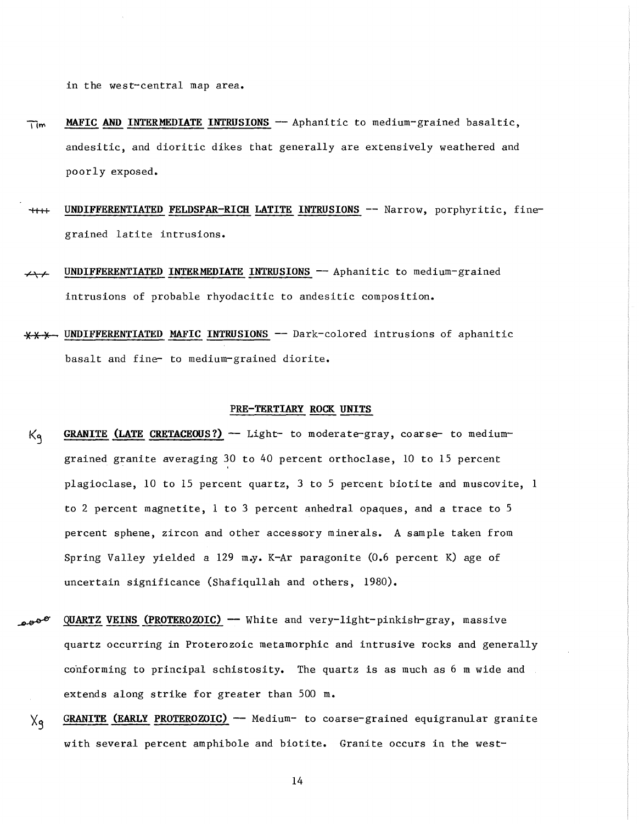in the west-central map area.

- $\frac{1}{\sqrt{m}}$  **MAFIC AND INTERMEDIATE INTRUSIONS** -- Aphanitic to medium-grained basaltic, andesitic, and dioritic dikes that generally are extensively weathered and poorly exposed.
- ~ **UNDIFFERENTIATED FELDSPAR-RICH LATlTE INTRUSIONS** -- Narrow, porphyritic, finegrained latite intrusions.
- ~ **UNDIFFERENTIATED INTERMEDIATE INTRUSIONS --** Aphanitic to medium-grained intrusions of probable rhyodacitic to andesitic composition.
- xx ~ **UNDIFFERENTIATED MAFIC INTRUSIONS** -- Dark-colored intrusions of aphanitic basalt and fine- to medium-grained diorite.

#### **PRE-TERTIARY ROCK UNITS**

- K<sub>9</sub> GRANITE (LATE CRETACEOUS?) Light- to moderate-gray, coarse- to mediumgrained granite averaging 30 to 40 percent orthoclase, 10 to 15 percent plagioclase, 10 to 15 percent quartz, 3 to 5 percent biotite and muscovite, 1 to 2 percent magnetite, 1 to 3 percent anhedral opaques, and a trace to 5 percent sphene, zircon and other accessory minerals. A sample taken from Spring Valley yielded a 129 m.y. K-Ar paragonite  $(0.6$  percent K) age of uncertain significance (Shafiqullah and others, 1980).
- ~ **QUARTZ VEINS (PROTEROZOIC)** -- White and very-light-pinkish-gray, massive quartz occurring in Proterozoic metamorphic and intrusive rocks and generally conforming to principal schistosity. The quartz is as much as 6 m wide and extends along strike for greater than 500 m.
	- X<sub>9</sub> GRANITE (EARLY PROTEROZOIC) Medium- to coarse-grained equigranular granite with several percent amphibole and biotite. Granite occurs in the west-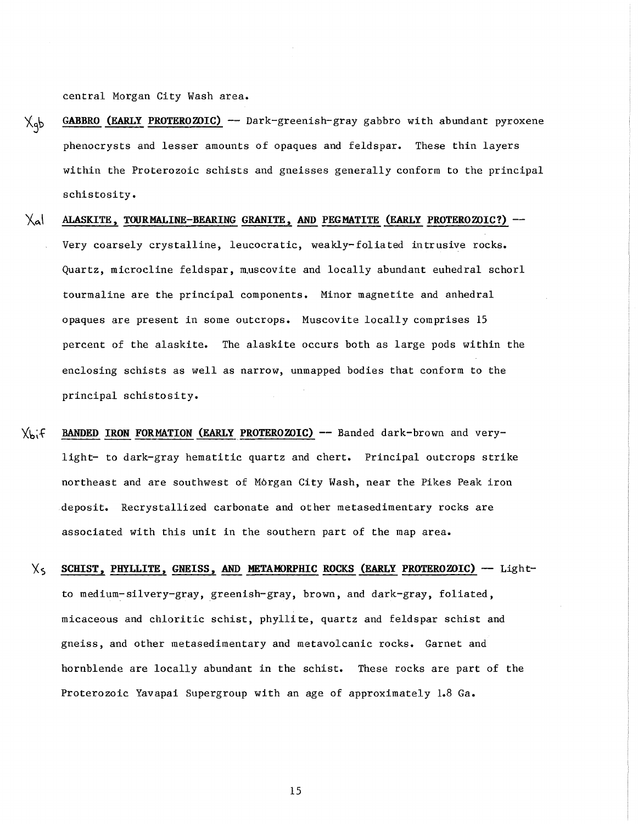central Morgan City Wash area.

- $\chi_{\mathbf{q}}$ b GABBRO (EARLY PROTEROZOIC) -- Dark-greenish-gray gabbro with abundant pyroxene phenocrysts and lesser amounts of opaques and feldspar. These thin layers within the Proterozoic schists and gneisses generally conform to the principal schistosity.
- $\chi_{\alpha}$ | ALASKITE, TOURMALINE-BEARING GRANITE, AND PEGMATITE (EARLY PROTEROZOIC?) --Very coarsely crystalline, leucocratic, weakly-foliated intrusive rocks. Quartz, microcline feldspar, m,uscovite and locally abundant euhedral schorl tourmaline are the principal components. Minor magnetite and anhedral opaques are present in some outcrops. Muscovite locally comprises 15 percent of the alaskite. The alaskite occurs both as large pods within the enclosing schists as well as narrow, unmapped bodies that conform to the principal schistosity.
- $\chi_{b}$ ;f BANDED IRON FORMATION (EARLY PROTEROZOIC) -- Banded dark-brown and verylight- to dark-gray hematitic quartz and chert. Principal outcrops strike northeast and are southwest of Morgan City Wash, near the Pikes Peak iron deposit. Recrystallized carbonate and other metasedimentary rocks are associated with this unit in the southern part of the map area.
	- X<sub>5</sub> SCHIST, PHYLLITE, GNEISS, AND METAMORPHIC ROCKS (EARLY PROTEROZOIC) Lightto medium-silvery-gray, greenish-gray, brown, and dark-gray, foliated, micaceous and chloritic schist, phyllite, quartz and feldspar schist and gneiss, and other metasedimentary and metavolcanic rocks. Garnet and hornblende are locally abundant in the schist. These rocks are part of the Proterozoic Yavapai Supergroup with an age of approximately 1.8 Ga.